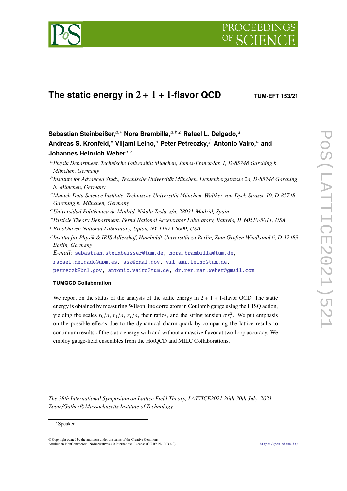

# **The static energy in**  $2 + 1 + 1$ -flavor QCD **TUM-EFT 153/21**

Sebastian Steinbeißer,<sup>*a*,∗</sup> Nora Brambilla,<sup>*a,b,c*</sup> Rafael L. Delgado,<sup>*d*</sup> **Andreas S. Kronfeld,**<sup>𝑒</sup> **Viljami Leino,**<sup>𝑎</sup> **Peter Petreczky,** <sup>𝑓</sup> **Antonio Vairo,**<sup>𝑎</sup> **and Johannes Heinrich Weber**<sup>a, g</sup>

<sup>𝑎</sup>*Physik Department, Technische Universität München, James-Franck-Str. 1, D-85748 Garching b. München, Germany*

- <sup>b</sup> Institute for Advanced Study, Technische Universität München, Lichtenbergstrasse 2a, D-85748 Garching *b. München, Germany*
- <sup>𝑐</sup>*Munich Data Science Institute, Technische Universität München, Walther-von-Dyck-Strasse 10, D-85748 Garching b. München, Germany*
- <sup>𝑑</sup>*Universidad Politécnica de Madrid, Nikola Tesla, s/n, 28031-Madrid, Spain*
- <sup>𝑒</sup>*Particle Theory Department, Fermi National Accelerator Laboratory, Batavia, IL 60510-5011, USA*
- <sup>𝑓</sup> *Brookhaven National Laboratory, Upton, NY 11973-5000, USA*
- 𝑔 *Institut für Physik & IRIS Adlershof, Humboldt-Universität zu Berlin, Zum Großen Windkanal 6, D-12489 Berlin, Germany*

*E-mail:* [sebastian.steinbeisser@tum.de,](mailto:sebastian.steinbeisser@tum.de) [nora.brambilla@tum.de,](mailto:nora.brambilla@tum.de)

[rafael.delgado@upm.es,](mailto:rafael.delgado@upm.es) [ask@fnal.gov,](mailto:ask@fnal.gov) [viljami.leino@tum.de,](mailto:viljami.leino@tum.de)

[petreczk@bnl.gov,](mailto:petreczk@bnl.gov) [antonio.vairo@tum.de,](mailto:antonio.vairo@tum.de) [dr.rer.nat.weber@gmail.com](mailto:dr.rer.nat.weber@gmail.com)

# **TUMQCD Collaboration**

We report on the status of the analysis of the static energy in  $2 + 1 + 1$ -flavor OCD. The static energy is obtained by measuring Wilson line correlators in Coulomb gauge using the HISQ action, yielding the scales  $r_0/a$ ,  $r_1/a$ ,  $r_2/a$ , their ratios, and the string tension  $\sigma r_i^2$ . We put emphasis on the possible effects due to the dynamical charm-quark by comparing the lattice results to continuum results of the static energy with and without a massive flavor at two-loop accuracy. We employ gauge-field ensembles from the HotQCD and MILC Collaborations.

*The 38th International Symposium on Lattice Field Theory, LATTICE2021 26th-30th July, 2021 Zoom/Gather@Massachusetts Institute of Technology*

<sup>∗</sup>Speaker

<sup>©</sup> Copyright owned by the author(s) under the terms of the Creative Commons Attribution-NonCommercial-NoDerivatives 4.0 International License (CC BY-NC-ND 4.0). <https://pos.sissa.it/>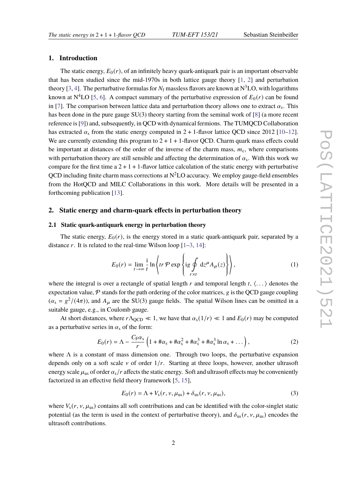# **1. Introduction**

The static energy,  $E_0(r)$ , of an infinitely heavy quark-antiquark pair is an important observable that has been studied since the mid-1970s in both lattice gauge theory [\[1,](#page-7-0) [2\]](#page-7-1) and perturbation theory [\[3,](#page-7-2) [4\]](#page-7-3). The perturbative formulas for  $N_f$  massless flavors are known at  $N<sup>3</sup>LO$ , with logarithms known at  $N^4LO$  [\[5,](#page-7-4) [6\]](#page-7-5). A compact summary of the perturbative expression of  $E_0(r)$  can be found in [\[7\]](#page-8-0). The comparison between lattice data and perturbation theory allows one to extract  $\alpha_s$ . This has been done in the pure gauge  $SU(3)$  theory starting from the seminal work of [\[8\]](#page-8-1) (a more recent reference is [\[9\]](#page-8-2)) and, subsequently, in QCD with dynamical fermions. The TUMQCD Collaboration has extracted  $\alpha_s$  from the static energy computed in 2 + 1-flavor lattice QCD since 2012 [\[10–](#page-8-3)[12\]](#page-8-4). We are currently extending this program to  $2 + 1 + 1$ -flavor QCD. Charm quark mass effects could be important at distances of the order of the inverse of the charm mass,  $m<sub>c</sub>$ , where comparisons with perturbation theory are still sensible and affecting the determination of  $\alpha_s$ . With this work we compare for the first time  $a 2 + 1 + 1$ -flavor lattice calculation of the static energy with perturbative QCD including finite charm mass corrections at  $N^2LO$  accuracy. We employ gauge-field ensembles from the HotQCD and MILC Collaborations in this work. More details will be presented in a forthcoming publication [\[13\]](#page-8-5).

## **2. Static energy and charm-quark effects in perturbation theory**

#### **2.1 Static quark-antiquark energy in perturbation theory**

The static energy,  $E_0(r)$ , is the energy stored in a static quark-antiquark pair, separated by a distance  $r$ . It is related to the real-time Wilson loop  $[1-3, 14]$  $[1-3, 14]$  $[1-3, 14]$  $[1-3, 14]$ :

$$
E_0(r) = \lim_{t \to \infty} \frac{1}{t} \ln \left\{ tr \, \mathcal{P} \exp \left\{ ig \int_{r \times t} d z^{\mu} A_{\mu}(z) \right\} \right\},\tag{1}
$$

where the integral is over a rectangle of spatial length r and temporal length t,  $\langle \dots \rangle$  denotes the expectation value,  $P$  stands for the path ordering of the color matrices,  $g$  is the QCD gauge coupling  $(\alpha_s = g^2/(4\pi))$ , and  $A_\mu$  are the SU(3) gauge fields. The spatial Wilson lines can be omitted in a suitable gauge, e.g., in Coulomb gauge.

At short distances, where  $r\Lambda_{\text{QCD}} \ll 1$ , we have that  $\alpha_s(1/r) \ll 1$  and  $E_0(r)$  may be computed as a perturbative series in  $\alpha_s$  of the form:

<span id="page-1-0"></span>
$$
E_0(r) = \Lambda - \frac{C_F \alpha_s}{r} \left( 1 + \pi \alpha_s + \pi \alpha_s^2 + \pi \alpha_s^3 + \pi \alpha_s^3 \ln \alpha_s + \dots \right),\tag{2}
$$

where  $\Lambda$  is a constant of mass dimension one. Through two loops, the perturbative expansion depends only on a soft scale  $\nu$  of order  $1/r$ . Starting at three loops, however, another ultrasoft energy scale  $\mu_{us}$  of order  $\alpha_s/r$  affects the static energy. Soft and ultrasoft effects may be conveniently factorized in an effective field theory framework [\[5,](#page-7-4) [15\]](#page-8-7),

<span id="page-1-1"></span>
$$
E_0(r) = \Lambda + V_s(r, \nu, \mu_{\text{us}}) + \delta_{\text{us}}(r, \nu, \mu_{\text{us}}),
$$
\n(3)

where  $V_s(r, v, \mu_{us})$  contains all soft contributions and can be identified with the color-singlet static potential (as the term is used in the context of perturbative theory), and  $\delta_{us}(r, v, \mu_{us})$  encodes the ultrasoft contributions.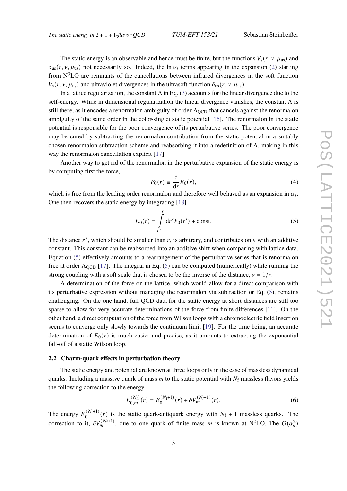The static energy is an observable and hence must be finite, but the functions  $V_s(r, v, \mu_{us})$  and  $\delta_{us}(r, v, \mu_{us})$  not necessarily so. Indeed, the ln  $\alpha_s$  terms appearing in the expansion [\(2\)](#page-1-0) starting from  $N<sup>3</sup>LO$  are remnants of the cancellations between infrared divergences in the soft function  $V_s(r, v, \mu_{us})$  and ultraviolet divergences in the ultrasoft function  $\delta_{us}(r, v, \mu_{us})$ .

In a lattice regularization, the constant  $\Lambda$  in Eq. [\(3\)](#page-1-1) accounts for the linear divergence due to the self-energy. While in dimensional regularization the linear divergence vanishes, the constant  $\Lambda$  is still there, as it encodes a renormalon ambiguity of order  $\Lambda_{\text{QCD}}$  that cancels against the renormalon ambiguity of the same order in the color-singlet static potential [\[16\]](#page-8-8). The renormalon in the static potential is responsible for the poor convergence of its perturbative series. The poor convergence may be cured by subtracting the renormalon contribution from the static potential in a suitably chosen renormalon subtraction scheme and reabsorbing it into a redefinition of Λ, making in this way the renormalon cancellation explicit [\[17\]](#page-8-9).

Another way to get rid of the renormalon in the perturbative expansion of the static energy is by computing first the force,

$$
F_0(r) \equiv \frac{\mathrm{d}}{\mathrm{d}r} E_0(r),\tag{4}
$$

which is free from the leading order renormalon and therefore well behaved as an expansion in  $\alpha_s$ . One then recovers the static energy by integrating [\[18\]](#page-8-10)

<span id="page-2-0"></span>
$$
E_0(r) = \int_{r^*}^r dr' F_0(r') + \text{const.}
$$
 (5)

The distance  $r^*$ , which should be smaller than  $r$ , is arbitrary, and contributes only with an additive constant. This constant can be reabsorbed into an additive shift when comparing with lattice data. Equation [\(5\)](#page-2-0) effectively amounts to a rearrangement of the perturbative series that is renormalon free at order  $\Lambda_{\text{OCD}}$  [\[17\]](#page-8-9). The integral in Eq. [\(5\)](#page-2-0) can be computed (numerically) while running the strong coupling with a soft scale that is chosen to be the inverse of the distance,  $v = 1/r$ .

A determination of the force on the lattice, which would allow for a direct comparison with its perturbative expression without managing the renormalon via subtraction or Eq. [\(5\)](#page-2-0), remains challenging. On the one hand, full QCD data for the static energy at short distances are still too sparse to allow for very accurate determinations of the force from finite differences [\[11\]](#page-8-11). On the other hand, a direct computation of the force from Wilson loops with a chromoelectric field insertion seems to converge only slowly towards the continuum limit [\[19\]](#page-8-12). For the time being, an accurate determination of  $E_0(r)$  is much easier and precise, as it amounts to extracting the exponential fall-off of a static Wilson loop.

## <span id="page-2-2"></span>**2.2 Charm-quark effects in perturbation theory**

The static energy and potential are known at three loops only in the case of massless dynamical quarks. Including a massive quark of mass  $m$  to the static potential with  $N_f$  massless flavors yields the following correction to the energy

<span id="page-2-1"></span>
$$
E_{0,m}^{(N_f)}(r) = E_0^{(N_f+1)}(r) + \delta V_m^{(N_f+1)}(r).
$$
\n(6)

The energy  $E_0^{(N_f+1)}$  $O_0^{(N_f+1)}(r)$  is the static quark-antiquark energy with  $N_f + 1$  massless quarks. The correction to it,  $\delta V_m^{(N_f+1)}$ , due to one quark of finite mass m is known at N<sup>2</sup>LO. The  $O(\alpha_s^2)$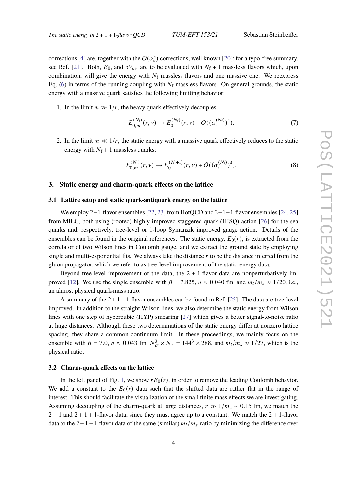corrections [\[4\]](#page-7-3) are, together with the  $O(\alpha_{\rm s}^3)$  corrections, well known [\[20\]](#page-8-13); for a typo-free summary, see Ref. [\[21\]](#page-8-14). Both,  $E_0$ , and  $\delta V_m$ , are to be evaluated with  $N_f + 1$  massless flavors which, upon combination, will give the energy with  $N_f$  massless flavors and one massive one. We reexpress Eq. [\(6\)](#page-2-1) in terms of the running coupling with  $N_f$  massless flavors. On general grounds, the static energy with a massive quark satisfies the following limiting behavior:

1. In the limit  $m \gg 1/r$ , the heavy quark effectively decouples:

$$
E_{0,m}^{(N_{\rm f})}(r,\nu) \to E_0^{(N_{\rm f})}(r,\nu) + O((\alpha_s^{(N_{\rm f})})^4). \tag{7}
$$

2. In the limit  $m \ll 1/r$ , the static energy with a massive quark effectively reduces to the static energy with  $N_f + 1$  massless quarks:

$$
E_{0,m}^{(N_{\rm f})}(r,\nu) \to E_0^{(N_{\rm f}+1)}(r,\nu) + O((\alpha_s^{(N_{\rm f})})^4). \tag{8}
$$

#### **3. Static energy and charm-quark effects on the lattice**

### **3.1 Lattice setup and static quark-antiquark energy on the lattice**

We employ  $2+1$ -flavor ensembles [\[22,](#page-8-15) [23\]](#page-8-16) from HotQCD and  $2+1+1$ -flavor ensembles [\[24,](#page-8-17) [25\]](#page-8-18) from MILC, both using (rooted) highly improved staggered quark (HISQ) action [\[26\]](#page-8-19) for the sea quarks and, respectively, tree-level or 1-loop Symanzik improved gauge action. Details of the ensembles can be found in the original references. The static energy,  $E_0(r)$ , is extracted from the correlator of two Wilson lines in Coulomb gauge, and we extract the ground state by employing single and multi-exponential fits. We always take the distance  $r$  to be the distance inferred from the gluon propagator, which we refer to as tree-level improvement of the static-energy data.

Beyond tree-level improvement of the data, the  $2 + 1$ -flavor data are nonperturbatively im-proved [\[12\]](#page-8-4). We use the single ensemble with  $\beta = 7.825$ ,  $a \approx 0.040$  fm, and  $m_l/m_s \approx 1/20$ , i.e., an almost physical quark-mass ratio.

A summary of the  $2 + 1 + 1$ -flavor ensembles can be found in Ref. [\[25\]](#page-8-18). The data are tree-level improved. In addition to the straight Wilson lines, we also determine the static energy from Wilson lines with one step of hypercubic (HYP) smearing [\[27\]](#page-8-20) which gives a better signal-to-noise ratio at large distances. Although these two determinations of the static energy differ at nonzero lattice spacing, they share a common continuum limit. In these proceedings, we mainly focus on the ensemble with  $\beta = 7.0$ ,  $a \approx 0.043$  fm,  $N_{\sigma}^3 \times N_{\tau} = 144^3 \times 288$ , and  $m_l/m_s \approx 1/27$ , which is the physical ratio.

### **3.2 Charm-quark effects on the lattice**

In the left panel of Fig. [1,](#page-4-0) we show  $rE_0(r)$ , in order to remove the leading Coulomb behavior. We add a constant to the  $E_0(r)$  data such that the shifted data are rather flat in the range of interest. This should facilitate the visualization of the small finite mass effects we are investigating. Assuming decoupling of the charm-quark at large distances,  $r \gg 1/m_c \sim 0.15$  fm, we match the  $2 + 1$  and  $2 + 1 + 1$ -flavor data, since they must agree up to a constant. We match the  $2 + 1$ -flavor data to the  $2 + 1 + 1$ -flavor data of the same (similar)  $m_l/m_s$ -ratio by minimizing the difference over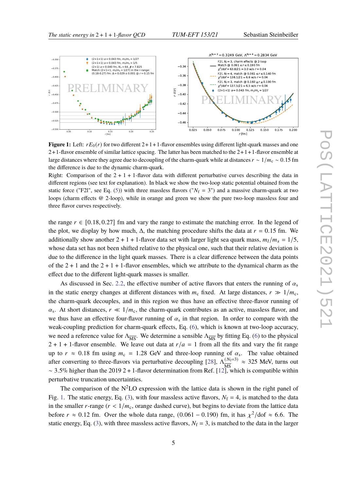<span id="page-4-0"></span>

**Figure 1:** Left:  $rE_0(r)$  for two different 2+1+1-flavor ensembles using different light-quark masses and one  $2+1$ -flavor ensemble of similar lattice spacing. The latter has been matched to the  $2+1+1$ -flavor ensemble at large distances where they agree due to decoupling of the charm-quark while at distances  $r \sim 1/m_c \sim 0.15$  fm the difference is due to the dynamic charm-quark.

Right: Comparison of the  $2 + 1 + 1$ -flavor data with different perturbative curves describing the data in different regions (see text for explanation). In black we show the two-loop static potential obtained from the static force ("F2l", see Eq. [\(5\)](#page-2-0)) with three massless flavors (" $N_f = 3$ ") and a massive charm-quark at two loops (charm effects @ 2-loop), while in orange and green we show the pure two-loop massless four and three flavor curves respectively.

the range  $r \in [0.18, 0.27]$  fm and vary the range to estimate the matching error. In the legend of the plot, we display by how much,  $\Delta$ , the matching procedure shifts the data at  $r = 0.15$  fm. We additionally show another  $2 + 1 + 1$ -flavor data set with larger light sea quark mass,  $m_l/m_s = 1/5$ , whose data set has not been shifted relative to the physical one, such that their relative deviation is due to the difference in the light quark masses. There is a clear difference between the data points of the  $2 + 1$  and the  $2 + 1 + 1$ -flavor ensembles, which we attribute to the dynamical charm as the effect due to the different light-quark masses is smaller.

As discussed in Sec. [2.2,](#page-2-2) the effective number of active flavors that enters the running of  $\alpha_s$ in the static energy changes at different distances with  $m_c$  fixed. At large distances,  $r \gg 1/m_c$ , the charm-quark decouples, and in this region we thus have an effective three-flavor running of  $\alpha_s$ . At short distances,  $r \ll 1/m_c$ , the charm-quark contributes as an active, massless flavor, and we thus have an effective four-flavor running of  $\alpha_s$  in that region. In order to compare with the weak-coupling prediction for charm-quark effects, Eq. [\(6\)](#page-2-1), which is known at two-loop accuracy, we need a reference value for  $\Lambda_{\overline{MS}}$ . We determine a sensible  $\Lambda_{\overline{MS}}$  by fitting Eq. [\(6\)](#page-2-1) to the physical  $2 + 1 + 1$ -flavor ensemble. We leave out data at  $r/a = 1$  from all the fits and vary the fit range up to  $r \approx 0.18$  fm using  $m_c = 1.28$  GeV and three-loop running of  $\alpha_s$ . The value obtained after converting to three-flavors via perturbative decoupling [\[28\]](#page-8-21),  $\Lambda_{\overline{\text{MS}}}^{(N_f=3)}$  $\frac{(N_f=3)}{MS} \approx 325$  MeV, turns out  $\sim$  3.5% higher than the 2019 2 + 1-flavor determination from Ref. [\[12\]](#page-8-4), which is compatible within perturbative truncation uncertainties.

The comparison of the  $N^2LO$  expression with the lattice data is shown in the right panel of Fig. [1.](#page-4-0) The static energy, Eq. [\(3\)](#page-1-1), with four massless active flavors,  $N_f = 4$ , is matched to the data in the smaller r-range  $(r < 1/m_c$ , orange dashed curve), but begins to deviate from the lattice data before  $r \approx 0.12$  fm. Over the whole data range,  $(0.061 - 0.190)$  fm, it has  $\chi^2/\text{dof} \approx 6.6$ . The static energy, Eq. [\(3\)](#page-1-1), with three massless active flavors,  $N_f = 3$ , is matched to the data in the larger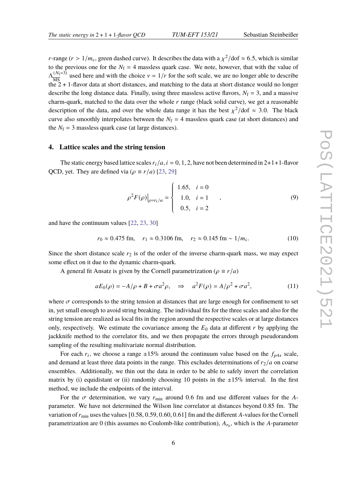*r*-range ( $r > 1/m_c$ , green dashed curve). It describes the data with a  $\chi^2$ /dof  $\approx 6.5$ , which is similar to the previous one for the  $N_f = 4$  massless quark case. We note, however, that with the value of  $\Lambda_{\overline{MS}}^{(N_f=3)}$  $\frac{(N_f=3)}{\text{MS}}$  used here and with the choice  $v = 1/r$  for the soft scale, we are no longer able to describe the 2 + 1-flavor data at short distances, and matching to the data at short distance would no longer describe the long distance data. Finally, using three massless active flavors,  $N_f = 3$ , and a massive charm-quark, matched to the data over the whole  $r$  range (black solid curve), we get a reasonable description of the data, and over the whole data range it has the best  $\chi^2$ /dof  $\approx$  3.0. The black curve also smoothly interpolates between the  $N_f = 4$  massless quark case (at short distances) and the  $N_f = 3$  massless quark case (at large distances).

#### **4. Lattice scales and the string tension**

The static energy based lattice scales  $r_i/a$ ,  $i = 0, 1, 2$ , have not been determined in 2+1+1-flavor QCD, yet. They are defined via ( $\rho \equiv r/a$ ) [\[23,](#page-8-16) [29\]](#page-8-22)

$$
\rho^2 F(\rho)|_{\rho=r_i/a} = \begin{cases} 1.65, & i = 0 \\ 1.0, & i = 1 \\ 0.5, & i = 2 \end{cases}
$$
 (9)

and have the continuum values [\[22,](#page-8-15) [23,](#page-8-16) [30\]](#page-8-23)

$$
r_0 \approx 0.475
$$
 fm,  $r_1 \approx 0.3106$  fm,  $r_2 \approx 0.145$  fm  $\sim 1/m_c$ . (10)

Since the short distance scale  $r_2$  is of the order of the inverse charm-quark mass, we may expect some effect on it due to the dynamic charm-quark.

A general fit Ansatz is given by the Cornell parametrization ( $\rho \equiv r/a$ )

<span id="page-5-0"></span>
$$
aE_0(\rho) = -A/\rho + B + \sigma a^2 \rho, \quad \Rightarrow \quad a^2 F(\rho) = A/\rho^2 + \sigma a^2,\tag{11}
$$

where  $\sigma$  corresponds to the string tension at distances that are large enough for confinement to set in, yet small enough to avoid string breaking. The individual fits for the three scales and also for the string tension are realized as local fits in the region around the respective scales or at large distances only, respectively. We estimate the covariance among the  $E_0$  data at different r by applying the jackknife method to the correlator fits, and we then propagate the errors through pseudorandom sampling of the resulting multivariate normal distribution.

For each  $r_i$ , we choose a range  $\pm 15\%$  around the continuum value based on the  $f_{p4s}$  scale, and demand at least three data points in the range. This excludes determinations of  $r_2/a$  on coarse ensembles. Additionally, we thin out the data in order to be able to safely invert the correlation matrix by (i) equidistant or (ii) randomly choosing 10 points in the  $\pm 15\%$  interval. In the first method, we include the endpoints of the interval.

For the  $\sigma$  determination, we vary  $r_{\text{min}}$  around 0.6 fm and use different values for the Aparameter. We have not determined the Wilson line correlator at distances beyond 0.85 fm. The variation of  $r_{\text{min}}$  uses the values [0.58, 0.59, 0.60, 0.61] fm and the different A-values for the Cornell parametrization are 0 (this assumes no Coulomb-like contribution),  $A_{r_0}$ , which is the A-parameter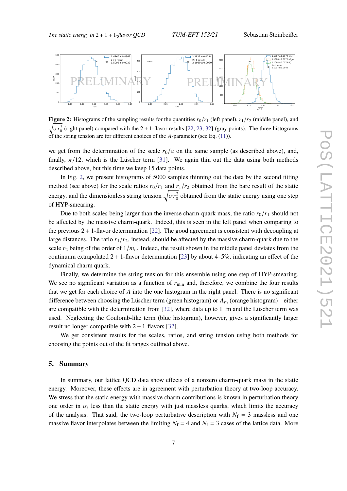$\overline{a}$ 

<span id="page-6-0"></span>

**Figure 2:** Histograms of the sampling results for the quantities  $r_0/r_1$  (left panel),  $r_1/r_2$  (middle panel), and  $\sqrt{\sigma r_0^2}$  (right panel) compared with the 2 + 1-flavor results [\[22,](#page-8-15) [23,](#page-8-16) [32\]](#page-8-24) (gray points). The three histograms of the string tension are for different choices of the  $A$ -parameter (see Eq. [\(11\)](#page-5-0)).

we get from the determination of the scale  $r_0/a$  on the same sample (as described above), and, finally,  $\pi/12$ , which is the Lüscher term [\[31\]](#page-8-25). We again thin out the data using both methods described above, but this time we keep 15 data points.

In Fig. [2,](#page-6-0) we present histograms of 5000 samples thinning out the data by the second fitting method (see above) for the scale ratios  $r_0/r_1$  and  $r_1/r_2$  obtained from the bare result of the static energy, and the dimensionless string tension  $\sqrt{\sigma r_0^2}$  obtained from the static energy using one step of HYP-smearing.

Due to both scales being larger than the inverse charm-quark mass, the ratio  $r_0/r_1$  should not be affected by the massive charm-quark. Indeed, this is seen in the left panel when comparing to the previous  $2 + 1$ -flavor determination [\[22\]](#page-8-15). The good agreement is consistent with decoupling at large distances. The ratio  $r_1/r_2$ , instead, should be affected by the massive charm-quark due to the scale  $r_2$  being of the order of  $1/m_c$ . Indeed, the result shown in the middle panel deviates from the continuum extrapolated  $2 + 1$ -flavor determination [\[23\]](#page-8-16) by about 4–5%, indicating an effect of the dynamical charm quark.

Finally, we determine the string tension for this ensemble using one step of HYP-smearing. We see no significant variation as a function of  $r_{\text{min}}$  and, therefore, we combine the four results that we get for each choice of  $A$  into the one histogram in the right panel. There is no significant difference between choosing the Lüscher term (green histogram) or  $A_{r_0}$  (orange histogram) – either are compatible with the determination from  $[32]$ , where data up to 1 fm and the Lüscher term was used. Neglecting the Coulomb-like term (blue histogram), however, gives a significantly larger result no longer compatible with  $2 + 1$ -flavors [\[32\]](#page-8-24).

We get consistent results for the scales, ratios, and string tension using both methods for choosing the points out of the fit ranges outlined above.

#### **5. Summary**

In summary, our lattice QCD data show effects of a nonzero charm-quark mass in the static energy. Moreover, these effects are in agreement with perturbation theory at two-loop accuracy. We stress that the static energy with massive charm contributions is known in perturbation theory one order in  $\alpha_s$  less than the static energy with just massless quarks, which limits the accuracy of the analysis. That said, the two-loop perturbative description with  $N_f = 3$  massless and one massive flavor interpolates between the limiting  $N_f = 4$  and  $N_f = 3$  cases of the lattice data. More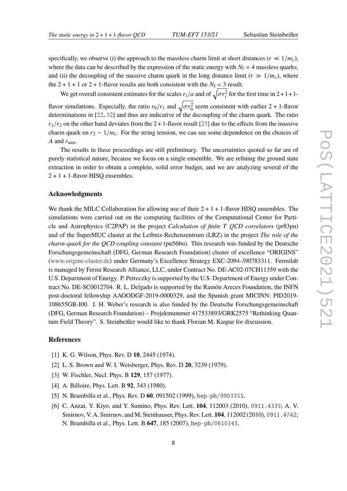specifically, we observe (i) the approach to the massless charm limit at short distances ( $r \ll 1/m_c$ ), where the data can be described by the expression of the static energy with  $N_f = 4$  massless quarks, and (ii) the decoupling of the massive charm quark in the long distance limit ( $r \gg 1/m_c$ ), where the  $2 + 1 + 1$  or  $2 + 1$ -flavor results are both consistent with the  $N_f = 3$  result.

We get overall consistent estimates for the scales  $r_i/a$  and of  $\sqrt{\sigma r_i^2}$  for the first time in 2+1+1flavor simulations. Especially, the ratio  $r_0/r_1$  and  $\sqrt{\sigma r_0^2}$  seem consistent with earlier 2 + 1-flavor determinations in [\[22,](#page-8-15) [32\]](#page-8-24) and thus are indicative of the decoupling of the charm quark. The ratio  $r_1/r_2$  on the other hand deviates from the 2 + 1-flavor result [\[23\]](#page-8-16) due to the effects from the massive charm quark on  $r_2 \sim 1/m_c$ . For the string tension, we can see some dependence on the choices of A and  $r_{\text{min}}$ .

The results in these proceedings are still preliminary. The uncertainties quoted so far are of purely statistical nature, because we focus on a single ensemble. We are refining the ground state extraction in order to obtain a complete, solid error budget, and we are analyzing several of the  $2 + 1 + 1$ -flavor HISO ensembles.

## **Acknowledgments**

We thank the MILC Collaboration for allowing use of their  $2 + 1 + 1$ -flavor HISO ensembles. The simulations were carried out on the computing facilities of the Computational Center for Particle and Astrophysics (C2PAP) in the project *Calculation of finite* T QCD correlators (pr83pu) and of the SuperMUC cluster at the Leibniz-Rechenzentrum (LRZ) in the project *The role of the charm-quark for the QCD coupling constant* (pn56bo). This research was funded by the Deutsche Forschungsgemeinschaft (DFG, German Research Foundation) cluster of excellence "ORIGINS" [\(www.origins-cluster.de\)](www.origins-cluster.de) under Germany's Excellence Strategy EXC-2094-390783311. Fermilab is managed by Fermi Research Alliance, LLC, under Contract No. DE-AC02-07CH11359 with the U.S. Department of Energy. P. Petreczky is supported by the U.S. Department of Energy under Contract No. DE-SC0012704. R. L. Delgado is supported by the Ramón Areces Foundation, the INFN post-doctoral fellowship AAOODGF-2019-0000329, and the Spanish grant MICINN: PID2019- 108655GB-I00. J. H. Weber's research is also funded by the Deutsche Forschungsgemeinschaft (DFG, German Research Foundation) – Projektnummer 417533893/GRK2575 "Rethinking Quantum Field Theory". S. Steinbeißer would like to thank Florian M. Kaspar for discussion.

## **References**

- <span id="page-7-0"></span>[1] K. G. Wilson, Phys. Rev. D **10**, 2445 (1974).
- <span id="page-7-1"></span>[2] L. S. Brown and W. I. Weisberger, Phys. Rev. D **20**, 3239 (1979).
- <span id="page-7-2"></span>[3] W. Fischler, Nucl. Phys. B **129**, 157 (1977).
- <span id="page-7-3"></span>[4] A. Billoire, Phys. Lett. B **92**, 343 (1980).
- <span id="page-7-4"></span>[5] N. Brambilla et al., Phys. Rev. D **60**, 091502 (1999), [hep-ph/9903355](https://arxiv.org/abs/hep-ph/9903355).
- <span id="page-7-5"></span>[6] C. Anzai, Y. Kiyo, and Y. Sumino, Phys. Rev. Lett. **104**, 112003 (2010), [0911.4335](https://arxiv.org/abs/0911.4335); A. V. Smirnov, V. A. Smirnov, and M. Steinhauser, Phys. Rev. Lett. **104**, 112002 (2010), [0911.4742](https://arxiv.org/abs/0911.4742); N. Brambilla et al., Phys. Lett. B **647**, 185 (2007), [hep-ph/0610143](https://arxiv.org/abs/hep-ph/0610143).